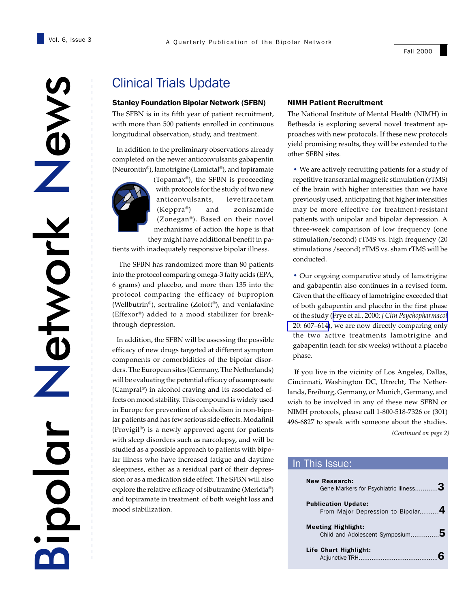Clinical Trials Update<br>
Stanley Foundation Bipolar Network (SFBN)<br>
The SFBN is in its fifth year of patient recruitme<br>
with more than 500 patients enrolled in continuo<br>
longitudinal observation, study, and treatment.<br>
In a Network etwork Bipolar

# Clinical Trials Update

The SFBN is in its fifth year of patient recruitment, with more than 500 patients enrolled in continuous longitudinal observation, study, and treatment.

 In addition to the preliminary observations already completed on the newer anticonvulsants gabapentin (Neurontin®), lamotrigine (Lamictal®), and topiramate



(Topamax®), the SFBN is proceeding with protocols for the study of two new anticonvulsants, levetiracetam (Keppra®) and zonisamide (Zonegan®). Based on their novel mechanisms of action the hope is that they might have additional benefit in pa-

tients with inadequately responsive bipolar illness.

 The SFBN has randomized more than 80 patients into the protocol comparing omega-3 fatty acids (EPA, 6 grams) and placebo, and more than 135 into the protocol comparing the efficacy of bupropion (Wellbutrin®), sertraline (Zoloft®), and venlafaxine (Effexor®) added to a mood stabilizer for breakthrough depression.

 In addition, the SFBN will be assessing the possible efficacy of new drugs targeted at different symptom components or comorbidities of the bipolar disorders. The European sites (Germany, The Netherlands) will be evaluating the potential efficacy of acamprosate (Campral®) in alcohol craving and its associated effects on mood stability. This compound is widely used in Europe for prevention of alcoholism in non-bipolar patients and has few serious side effects. Modafinil (Provigil®) is a newly approved agent for patients with sleep disorders such as narcolepsy, and will be studied as a possible approach to patients with bipolar illness who have increased fatigue and daytime sleepiness, either as a residual part of their depression or as a medication side effect. The SFBN will also explore the relative efficacy of sibutramine (Meridia®) and topiramate in treatment of both weight loss and mood stabilization.

#### NIMH Patient Recruitment

The National Institute of Mental Health (NIMH) in Bethesda is exploring several novel treatment approaches with new protocols. If these new protocols yield promising results, they will be extended to the other SFBN sites.

· We are actively recruiting patients for a study of repetitive transcranial magnetic stimulation (rTMS) of the brain with higher intensities than we have previously used, anticipating that higher intensities may be more effective for treatment-resistant patients with unipolar and bipolar depression. A three-week comparison of low frequency (one stimulation/second) rTMS vs. high frequency (20 stimulations /second) rTMS vs. sham rTMS will be conducted.

· Our ongoing comparative study of lamotrigine and gabapentin also continues in a revised form. Given that the efficacy of lamotrigine exceeded that of both gabapentin and placebo in the first phase of the study (Frye et al., 2000; *[J Clin Psychopharmacol](http://www.ncbi.nlm.nih.gov/entrez/query.fcgi?cmd=Retrieve&db=PubMed&list_uids=11106131&dopt=Abstract)* [20: 607–614\)](http://www.ncbi.nlm.nih.gov/entrez/query.fcgi?cmd=Retrieve&db=PubMed&list_uids=11106131&dopt=Abstract), we are now directly comparing only the two active treatments lamotrigine and gabapentin (each for six weeks) without a placebo phase.

*(Continued on page 2)* If you live in the vicinity of Los Angeles, Dallas, Cincinnati, Washington DC, Utrecht, The Netherlands, Freiburg, Germany, or Munich, Germany, and wish to be involved in any of these new SFBN or NIMH protocols, please call 1-800-518-7326 or (301) 496-6827 to speak with someone about the studies.

### In This Issue:

| <b>New Research:</b><br>Gene Markers for Psychiatric Illness3   |  |
|-----------------------------------------------------------------|--|
| <b>Publication Update:</b><br>From Major Depression to Bipolar4 |  |
| <b>Meeting Highlight:</b><br>Child and Adolescent Symposium     |  |
| Life Chart Highlight:<br>Adiunctive TRH                         |  |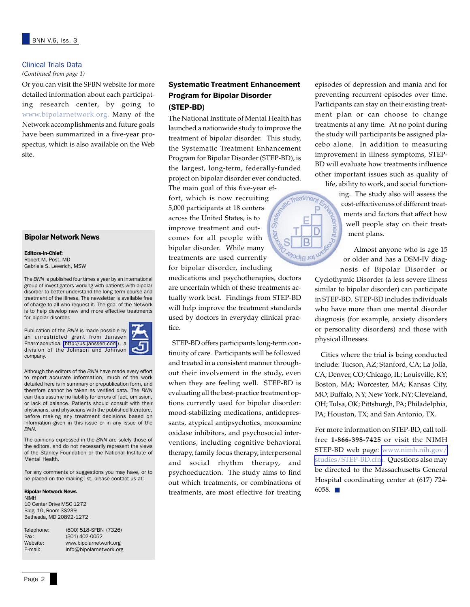#### Clinical Trials Data

*(Continued from page 1)*

Or you can visit the SFBN website for more detailed information about each participating research center, by going to www.bipolarnetwork.org. Many of the Network accomplishments and future goals have been summarized in a five-year prospectus, which is also available on the Web site.

### Bipolar Network News

Editors-in-Chief: Robert M. Post, MD Gabriele S. Leverich, MSW

The *BNN* is published four times a year by an international group of investigators working with patients with bipolar disorder to better understand the long-term course and treatment of the illness. The newsletter is available free of charge to all who request it. The goal of the Network is to help develop new and more effective treatments for bipolar disorder.

Publication of the *BNN* is made possible by an unrestricted grant from Janssen Pharmaceutica [\(http://us.janssen.com](http://www.us.janssen.com/)), a division of the Johnson and Johnson company.



Although the editors of the *BNN* have made every effort to report accurate information, much of the work detailed here is in summary or prepublication form, and therefore cannot be taken as verified data. The *BNN* can thus assume no liability for errors of fact, omission, or lack of balance. Patients should consult with their physicians, and physicians with the published literature, before making any treatment decisions based on information given in this issue or in any issue of the *BNN*.

The opinions expressed in the *BNN* are solely those of the editors, and do not necessarily represent the views of the Stanley Foundation or the National Institute of Mental Health.

For any comments or suggestions you may have, or to be placed on the mailing list, please contact us at:

#### Bipolar Network News

NIMH 10 Center Drive MSC 1272 Bldg. 10, Room 3S239 Bethesda, MD 20892-1272

| Telephone: | (800) 518-SFBN (7326)   |
|------------|-------------------------|
| Fax:       | (301) 402-0052          |
| Website:   | www.bipolarnetwork.org  |
| E-mail:    | info@bipolarnetwork.org |

### Systematic Treatment Enhancement Program for Bipolar Disorder (STEP-BD)

The National Institute of Mental Health has launched a nationwide study to improve the treatment of bipolar disorder. This study, the Systematic Treatment Enhancement Program for Bipolar Disorder (STEP-BD), is the largest, long-term, federally-funded project on bipolar disorder ever conducted. The main goal of this five-year ef-Treatment & fort, which is now recruiting 5,000 participants at 18 centers across the United States, is to improve treatment and outcomes for all people with bipolar disorder. While many **Jol** piloo treatments are used currently for bipolar disorder, including

medications and psychotherapies, doctors are uncertain which of these treatments actually work best. Findings from STEP-BD will help improve the treatment standards used by doctors in everyday clinical practice.

 STEP-BD offers participants long-term continuity of care. Participants will be followed and treated in a consistent manner throughout their involvement in the study, even when they are feeling well. STEP-BD is evaluating all the best-practice treatment options currently used for bipolar disorder: mood-stabilizing medications, antidepressants, atypical antipsychotics, monoamine oxidase inhibitors, and psychosocial interventions, including cognitive behavioral therapy, family focus therapy, interpersonal and social rhythm therapy, and psychoeducation. The study aims to find out which treatments, or combinations of treatments, are most effective for treating episodes of depression and mania and for preventing recurrent episodes over time. Participants can stay on their existing treatment plan or can choose to change treatments at any time. At no point during the study will participants be assigned placebo alone. In addition to measuring improvement in illness symptoms, STEP-BD will evaluate how treatments influence other important issues such as quality of

life, ability to work, and social function-

ing. The study also will assess the cost-effectiveness of different treatments and factors that affect how well people stay on their treatment plans.

 Almost anyone who is age 15 or older and has a DSM-IV diagnosis of Bipolar Disorder or

Cyclothymic Disorder (a less severe illness similar to bipolar disorder) can participate in STEP-BD. STEP-BD includes individuals who have more than one mental disorder diagnosis (for example, anxiety disorders or personality disorders) and those with physical illnesses.

 Cities where the trial is being conducted include: Tucson, AZ; Stanford, CA; La Jolla, CA; Denver, CO; Chicago, IL; Louisville, KY; Boston, MA; Worcester, MA; Kansas City, MO; Buffalo, NY; New York, NY; Cleveland, OH; Tulsa, OK; Pittsburgh, PA; Philadelphia, PA; Houston, TX; and San Antonio, TX.

For more information on STEP-BD, call tollfree **1-866-398-7425** or visit the NIMH STEP-BD web page: [www.nimh.nih.gov/](http://www.nimh.nih.gov/studies/STEP-BD.cfm) [studies/STEP-BD.cfm](http://www.nimh.nih.gov/studies/STEP-BD.cfm). Questions also may be directed to the Massachusetts General Hospital coordinating center at (617) 724- 6058. ■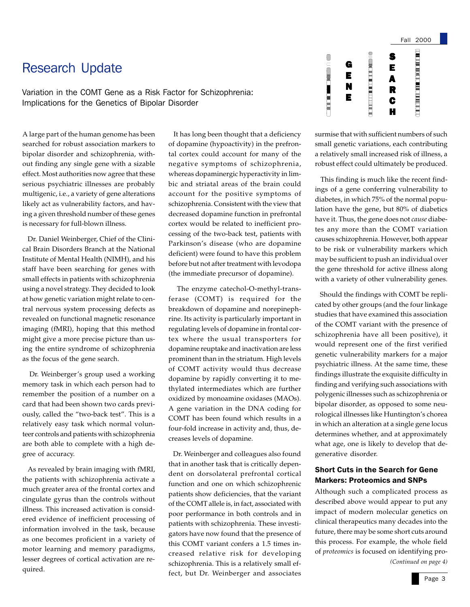# Research Update

Variation in the COMT Gene as a Risk Factor for Schizophrenia: Implications for the Genetics of Bipolar Disorder

A large part of the human genome has been searched for robust association markers to bipolar disorder and schizophrenia, without finding any single gene with a sizable effect. Most authorities now agree that these serious psychiatric illnesses are probably multigenic, i.e., a variety of gene alterations likely act as vulnerability factors, and having a given threshold number of these genes is necessary for full-blown illness.

 Dr. Daniel Weinberger, Chief of the Clinical Brain Disorders Branch at the National Institute of Mental Health (NIMH), and his staff have been searching for genes with small effects in patients with schizophrenia using a novel strategy. They decided to look at how genetic variation might relate to central nervous system processing defects as revealed on functional magnetic resonance imaging (fMRI), hoping that this method might give a more precise picture than using the entire syndrome of schizophrenia as the focus of the gene search.

 Dr. Weinberger's group used a working memory task in which each person had to remember the position of a number on a card that had been shown two cards previously, called the "two-back test". This is a relatively easy task which normal volunteer controls and patients with schizophrenia are both able to complete with a high degree of accuracy.

 As revealed by brain imaging with fMRI, the patients with schizophrenia activate a much greater area of the frontal cortex and cingulate gyrus than the controls without illness. This increased activation is considered evidence of inefficient processing of information involved in the task, because as one becomes proficient in a variety of motor learning and memory paradigms, lesser degrees of cortical activation are required.

 It has long been thought that a deficiency of dopamine (hypoactivity) in the prefrontal cortex could account for many of the negative symptoms of schizophrenia, whereas dopaminergic hyperactivity in limbic and striatal areas of the brain could account for the positive symptoms of schizophrenia. Consistent with the view that decreased dopamine function in prefrontal cortex would be related to inefficient processing of the two-back test, patients with Parkinson's disease (who are dopamine deficient) were found to have this problem before but not after treatment with levodopa (the immediate precursor of dopamine).

 The enzyme catechol-O-methyl-transferase (COMT) is required for the breakdown of dopamine and norepinephrine. Its activity is particularly important in regulating levels of dopamine in frontal cortex where the usual transporters for dopamine reuptake and inactivation are less prominent than in the striatum. High levels of COMT activity would thus decrease dopamine by rapidly converting it to methylated intermediates which are further oxidized by monoamine oxidases (MAOs). A gene variation in the DNA coding for COMT has been found which results in a four-fold increase in activity and, thus, decreases levels of dopamine.

 Dr. Weinberger and colleagues also found that in another task that is critically dependent on dorsolateral prefrontal cortical function and one on which schizophrenic patients show deficiencies, that the variant of the COMT allele is, in fact, associated with poor performance in both controls and in patients with schizophrenia. These investigators have now found that the presence of this COMT variant confers a 1.5 times increased relative risk for developing schizophrenia. This is a relatively small effect, but Dr. Weinberger and associates



surmise that with sufficient numbers of such small genetic variations, each contributing a relatively small increased risk of illness, a robust effect could ultimately be produced.

 This finding is much like the recent findings of a gene conferring vulnerability to diabetes, in which 75% of the normal population have the gene, but 80% of diabetics have it. Thus, the gene does not *cause* diabetes any more than the COMT variation causes schizophrenia. However, both appear to be risk or vulnerability markers which may be sufficient to push an individual over the gene threshold for active illness along with a variety of other vulnerability genes.

 Should the findings with COMT be replicated by other groups (and the four linkage studies that have examined this association of the COMT variant with the presence of schizophrenia have all been positive), it would represent one of the first verified genetic vulnerability markers for a major psychiatric illness. At the same time, these findings illustrate the exquisite difficulty in finding and verifying such associations with polygenic illnesses such as schizophrenia or bipolar disorder, as opposed to some neurological illnesses like Huntington's chorea in which an alteration at a single gene locus determines whether, and at approximately what age, one is likely to develop that degenerative disorder.

### Short Cuts in the Search for Gene Markers: Proteomics and SNPs

*(Continued on page 4)* Although such a complicated process as described above would appear to put any impact of modern molecular genetics on clinical therapeutics many decades into the future, there may be some short cuts around this process. For example, the whole field of *proteomics* is focused on identifying pro-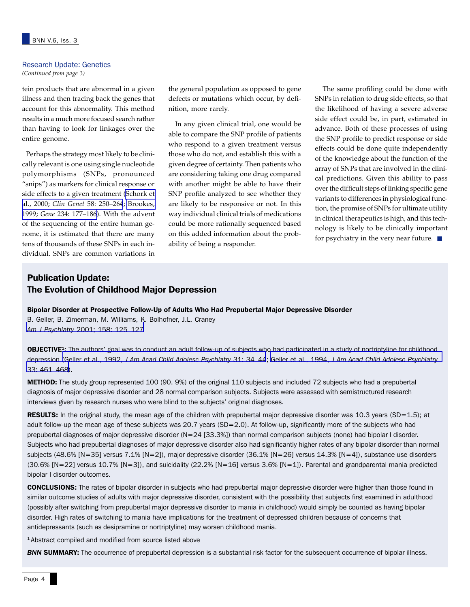#### Research Update: Genetics *(Continued from page 3)*

tein products that are abnormal in a given illness and then tracing back the genes that account for this abnormality. This method results in a much more focused search rather than having to look for linkages over the entire genome.

 Perhaps the strategy most likely to be clinically relevant is one using single nucleotide polymorphisms (SNPs, pronounced "snips") as markers for clinical response or side effects to a given treatment [\(Schork et](http://www.ncbi.nlm.nih.gov/entrez/query.fcgi?cmd=Retrieve&db=PubMed&list_uids=11076050&dopt=Abstract) al., 2000; *Clin Genet* [58: 250–264](http://www.ncbi.nlm.nih.gov/entrez/query.fcgi?cmd=Retrieve&db=PubMed&list_uids=11076050&dopt=Abstract); [Brookes,](http://www.ncbi.nlm.nih.gov/entrez/query.fcgi?cmd=Retrieve&db=PubMed&list_uids=10395891&dopt=Abstract) 1999; *Gene* [234: 177–186](http://www.ncbi.nlm.nih.gov/entrez/query.fcgi?cmd=Retrieve&db=PubMed&list_uids=10395891&dopt=Abstract)). With the advent of the sequencing of the entire human genome, it is estimated that there are many tens of thousands of these SNPs in each individual. SNPs are common variations in

the general population as opposed to gene defects or mutations which occur, by definition, more rarely.

 In any given clinical trial, one would be able to compare the SNP profile of patients who respond to a given treatment versus those who do not, and establish this with a given degree of certainty. Then patients who are considering taking one drug compared with another might be able to have their SNP profile analyzed to see whether they are likely to be responsive or not. In this way individual clinical trials of medications could be more rationally sequenced based on this added information about the probability of being a responder.

 The same profiling could be done with SNPs in relation to drug side effects, so that the likelihood of having a severe adverse side effect could be, in part, estimated in advance. Both of these processes of using the SNP profile to predict response or side effects could be done quite independently of the knowledge about the function of the array of SNPs that are involved in the clinical predictions. Given this ability to pass over the difficult steps of linking specific gene variants to differences in physiological function, the promise of SNPs for ultimate utility in clinical therapeutics is high, and this technology is likely to be clinically important for psychiatry in the very near future. ■

# Publication Update: The Evolution of Childhood Major Depression

#### Bipolar Disorder at Prospective Follow-Up of Adults Who Had Prepubertal Major Depressive Disorder

B. Geller, B. Zimerman, M. Williams, K. Bolhofner, J.L. Craney *Am J Psychiatry* [2001; 158: 125–127](http://www.ncbi.nlm.nih.gov/entrez/query.fcgi?cmd=Retrieve&db=PubMed&list_uids=11136645&dopt=Abstract)

OBJECTIVE<sup>1</sup>: The authors' goal was to conduct an adult follow-up of subjects who had participated in a study of nortriptyline for childhood depression (Geller et al., 1992, *[J Am Acad Child Adolesc Psychiatry](http://www.ncbi.nlm.nih.gov/entrez/query.fcgi?cmd=Retrieve&db=PubMed&list_uids=1537779&dopt=Abstract)* 31: 34–44; Geller et al., 1994, *[J Am Acad Child Adolesc Psychiatry](http://www.ncbi.nlm.nih.gov/entrez/query.fcgi?cmd=Retrieve&db=PubMed&list_uids=8005898&dopt=Abstract)* [33: 461–468](http://www.ncbi.nlm.nih.gov/entrez/query.fcgi?cmd=Retrieve&db=PubMed&list_uids=8005898&dopt=Abstract)).

**METHOD:** The study group represented 100 (90. 9%) of the original 110 subjects and included 72 subjects who had a prepubertal diagnosis of major depressive disorder and 28 normal comparison subjects. Subjects were assessed with semistructured research interviews given by research nurses who were blind to the subjects' original diagnoses.

RESULTS: In the original study, the mean age of the children with prepubertal major depressive disorder was  $10.3$  years (SD=1.5); at adult follow-up the mean age of these subjects was 20.7 years (SD=2.0). At follow-up, significantly more of the subjects who had prepubertal diagnoses of major depressive disorder (N=24 [33.3%]) than normal comparison subjects (none) had bipolar I disorder. Subjects who had prepubertal diagnoses of major depressive disorder also had significantly higher rates of any bipolar disorder than normal subjects (48.6% [N=35] versus 7.1% [N=2]), major depressive disorder (36.1% [N=26] versus 14.3% [N=4]), substance use disorders  $(30.6\% \text{ [N=22] }$  versus 10.7%  $\text{[N=3]}$ , and suicidality  $(22.2\% \text{ [N=16] }$  versus 3.6%  $\text{[N=1]}$ ). Parental and grandparental mania predicted bipolar I disorder outcomes.

CONCLUSIONS: The rates of bipolar disorder in subjects who had prepubertal major depressive disorder were higher than those found in similar outcome studies of adults with major depressive disorder, consistent with the possibility that subjects first examined in adulthood (possibly after switching from prepubertal major depressive disorder to mania in childhood) would simply be counted as having bipolar disorder. High rates of switching to mania have implications for the treatment of depressed children because of concerns that antidepressants (such as desipramine or nortriptyline) may worsen childhood mania.

<sup>1</sup> Abstract compiled and modified from source listed above

**BNN SUMMARY:** The occurrence of prepubertal depression is a substantial risk factor for the subsequent occurrence of bipolar illness.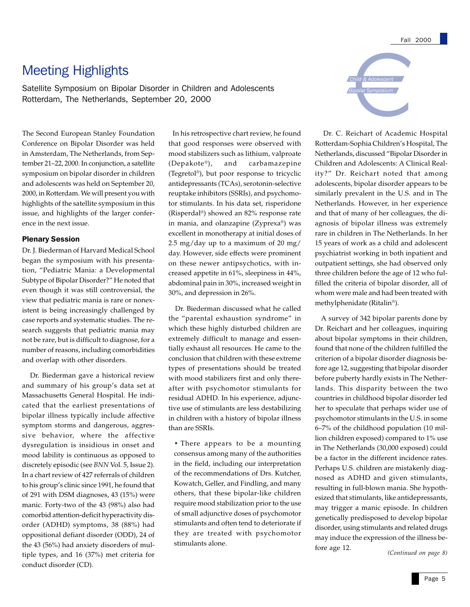# Meeting Highlights

Satellite Symposium on Bipolar Disorder in Children and Adolescents Rotterdam, The Netherlands, September 20, 2000

The Second European Stanley Foundation Conference on Bipolar Disorder was held in Amsterdam, The Netherlands, from September 21–22, 2000. In conjunction, a satellite symposium on bipolar disorder in children and adolescents was held on September 20, 2000, in Rotterdam. We will present you with highlights of the satellite symposium in this issue, and highlights of the larger conference in the next issue.

#### Plenary Session

Dr. J. Biederman of Harvard Medical School began the symposium with his presentation, "Pediatric Mania: a Developmental Subtype of Bipolar Disorder?" He noted that even though it was still controversial, the view that pediatric mania is rare or nonexistent is being increasingly challenged by case reports and systematic studies. The research suggests that pediatric mania may not be rare, but is difficult to diagnose, for a number of reasons, including comorbidities and overlap with other disorders.

 Dr. Biederman gave a historical review and summary of his group's data set at Massachusetts General Hospital. He indicated that the earliest presentations of bipolar illness typically include affective symptom storms and dangerous, aggressive behavior, where the affective dysregulation is insidious in onset and mood lability is continuous as opposed to discretely episodic (see *BNN* Vol. 5, Issue 2). In a chart review of 427 referrals of children to his group's clinic since 1991, he found that of 291 with DSM diagnoses, 43 (15%) were manic. Forty-two of the 43 (98%) also had comorbid attention-deficit hyperactivity disorder (ADHD) symptoms, 38 (88%) had oppositional defiant disorder (ODD), 24 of the 43 (56%) had anxiety disorders of multiple types, and 16 (37%) met criteria for conduct disorder (CD).

 In his retrospective chart review, he found that good responses were observed with mood stabilizers such as lithium, valproate (Depakote®), and carbamazepine (Tegretol®), but poor response to tricyclic antidepressants (TCAs), serotonin-selective reuptake inhibitors (SSRIs), and psychomotor stimulants. In his data set, risperidone (Risperdal®) showed an 82% response rate in mania, and olanzapine (Zyprexa®) was excellent in monotherapy at initial doses of 2.5 mg/day up to a maximum of 20 mg/ day. However, side effects were prominent on these newer antipsychotics, with increased appetite in 61%, sleepiness in 44%, abdominal pain in 30%, increased weight in 30%, and depression in 26%.

 Dr. Biederman discussed what he called the "parental exhaustion syndrome" in which these highly disturbed children are extremely difficult to manage and essentially exhaust all resources. He came to the conclusion that children with these extreme types of presentations should be treated with mood stabilizers first and only thereafter with psychomotor stimulants for residual ADHD. In his experience, adjunctive use of stimulants are less destabilizing in children with a history of bipolar illness than are SSRIs.

· There appears to be a mounting consensus among many of the authorities in the field, including our interpretation of the recommendations of Drs. Kutcher, Kowatch, Geller, and Findling, and many others, that these bipolar-like children require mood stabilization prior to the use of small adjunctive doses of psychomotor stimulants and often tend to deteriorate if they are treated with psychomotor stimulants alone.



 Dr. C. Reichart of Academic Hospital Rotterdam-Sophia Children's Hospital, The Netherlands, discussed "Bipolar Disorder in Children and Adolescents: A Clinical Reality?" Dr. Reichart noted that among adolescents, bipolar disorder appears to be similarly prevalent in the U.S. and in The Netherlands. However, in her experience and that of many of her colleagues, the diagnosis of bipolar illness was extremely rare in children in The Netherlands. In her 15 years of work as a child and adolescent psychiatrist working in both inpatient and outpatient settings, she had observed only three children before the age of 12 who fulfilled the criteria of bipolar disorder, all of whom were male and had been treated with methylphenidate (Ritalin®).

 A survey of 342 bipolar parents done by Dr. Reichart and her colleagues, inquiring about bipolar symptoms in their children, found that none of the children fulfilled the criterion of a bipolar disorder diagnosis before age 12, suggesting that bipolar disorder before puberty hardly exists in The Netherlands. This disparity between the two countries in childhood bipolar disorder led her to speculate that perhaps wider use of psychomotor stimulants in the U.S. in some 6–7% of the childhood population (10 million children exposed) compared to 1% use in The Netherlands (30,000 exposed) could be a factor in the different incidence rates. Perhaps U.S. children are mistakenly diagnosed as ADHD and given stimulants, resulting in full-blown mania. She hypothesized that stimulants, like antidepressants, may trigger a manic episode. In children genetically predisposed to develop bipolar disorder, using stimulants and related drugs may induce the expression of the illness before age 12.

*(Continued on page 8)*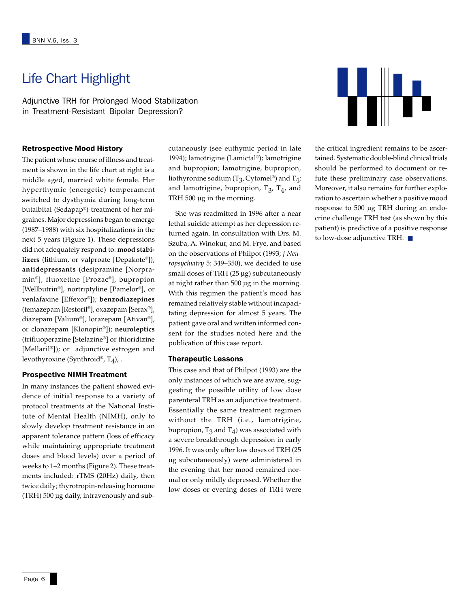# Life Chart Highlight

Adjunctive TRH for Prolonged Mood Stabilization in Treatment-Resistant Bipolar Depression?

#### Retrospective Mood History

The patient whose course of illness and treatment is shown in the life chart at right is a middle aged, married white female. Her hyperthymic (energetic) temperament switched to dysthymia during long-term butalbital (Sedapap®) treatment of her migraines. Major depressions began to emerge (1987–1988) with six hospitalizations in the next 5 years (Figure 1). These depressions did not adequately respond to: **mood stabilizers** (lithium, or valproate [Depakote®]); **antidepressants** (desipramine [Norpramin®], fluoxetine [Prozac®], bupropion [Wellbutrin®], nortriptyline [Pamelor®], or venlafaxine [Effexor®]); **benzodiazepines** (temazepam [Restoril®], oxazepam [Serax®], diazepam [Valium®], lorazepam [Ativan®], or clonazepam [Klonopin®]); **neuroleptics** (trifluoperazine [Stelazine®] or thioridizine [Mellaril®]); or adjunctive estrogen and levothyroxine (Synthroid®, T4), .

#### Prospective NIMH Treatment

In many instances the patient showed evidence of initial response to a variety of protocol treatments at the National Institute of Mental Health (NIMH), only to slowly develop treatment resistance in an apparent tolerance pattern (loss of efficacy while maintaining appropriate treatment doses and blood levels) over a period of weeks to 1–2 months (Figure 2). These treatments included: rTMS (20Hz) daily, then twice daily; thyrotropin-releasing hormone (TRH) 500 µg daily, intravenously and subcutaneously (see euthymic period in late 1994); lamotrigine (Lamictal®); lamotrigine and bupropion; lamotrigine, bupropion, liothyronine sodium ( $T_3$ , Cytomel®) and  $T_4$ ; and lamotrigine, bupropion,  $T_3$ ,  $T_4$ , and TRH 500 µg in the morning.

 She was readmitted in 1996 after a near lethal suicide attempt as her depression returned again. In consultation with Drs. M. Szuba, A. Winokur, and M. Frye, and based on the observations of Philpot (1993; *J Neuropsychiatry* 5: 349–350), we decided to use small doses of TRH (25 µg) subcutaneously at night rather than 500 µg in the morning. With this regimen the patient's mood has remained relatively stable without incapacitating depression for almost 5 years. The patient gave oral and written informed consent for the studies noted here and the publication of this case report.

#### Therapeutic Lessons

This case and that of Philpot (1993) are the only instances of which we are aware, suggesting the possible utility of low dose parenteral TRH as an adjunctive treatment. Essentially the same treatment regimen without the TRH (i.e., lamotrigine, bupropion,  $T_3$  and  $T_4$ ) was associated with a severe breakthrough depression in early 1996. It was only after low doses of TRH (25 µg subcutaneously) were administered in the evening that her mood remained normal or only mildly depressed. Whether the low doses or evening doses of TRH were



the critical ingredient remains to be ascertained. Systematic double-blind clinical trials should be performed to document or refute these preliminary case observations. Moreover, it also remains for further exploration to ascertain whether a positive mood response to 500 µg TRH during an endocrine challenge TRH test (as shown by this patient) is predictive of a positive response to low-dose adjunctive TRH. ■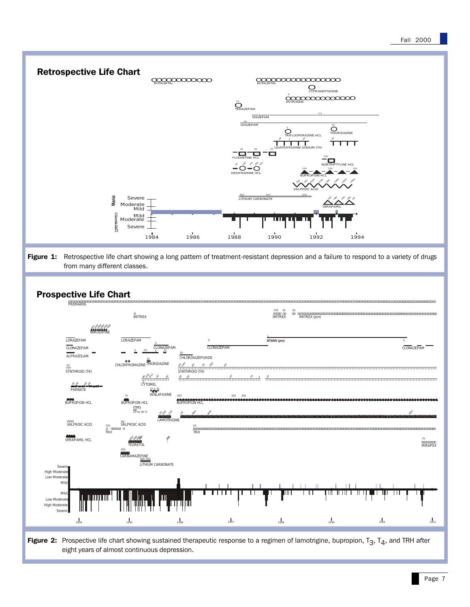

Figure 2: Prospective life chart showing sustained therapeutic response to a regimen of lamotrigine, bupropion,  $T_3$ ,  $T_4$ , and TRH after eight years of almost continuous depression.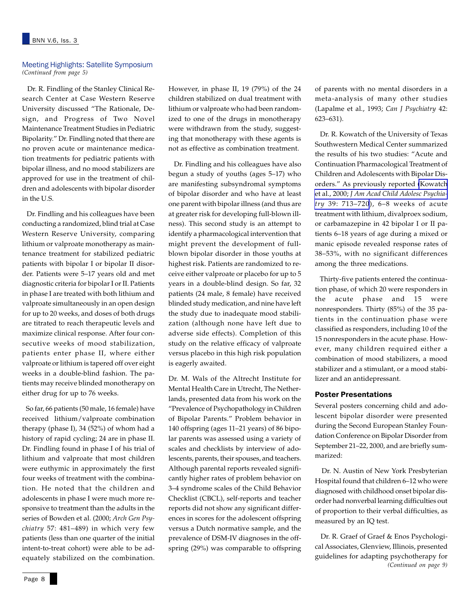#### Meeting Highlights: Satellite Symposium *(Continued from page 5)*

 Dr. R. Findling of the Stanley Clinical Research Center at Case Western Reserve University discussed "The Rationale, Design, and Progress of Two Novel Maintenance Treatment Studies in Pediatric Bipolarity." Dr. Findling noted that there are no proven acute or maintenance medication treatments for pediatric patients with bipolar illness, and no mood stabilizers are approved for use in the treatment of children and adolescents with bipolar disorder in the U.S.

 Dr. Findling and his colleagues have been conducting a randomized, blind trial at Case Western Reserve University, comparing lithium or valproate monotherapy as maintenance treatment for stabilized pediatric patients with bipolar I or bipolar II disorder. Patients were 5–17 years old and met diagnostic criteria for bipolar I or II. Patients in phase I are treated with both lithium and valproate simultaneously in an open design for up to 20 weeks, and doses of both drugs are titrated to reach therapeutic levels and maximize clinical response. After four consecutive weeks of mood stabilization, patients enter phase II, where either valproate or lithium is tapered off over eight weeks in a double-blind fashion. The patients may receive blinded monotherapy on either drug for up to 76 weeks.

 So far, 66 patients (50 male, 16 female) have received lithium/valproate combination therapy (phase I), 34 (52%) of whom had a history of rapid cycling; 24 are in phase II. Dr. Findling found in phase I of his trial of lithium and valproate that most children were euthymic in approximately the first four weeks of treatment with the combination. He noted that the children and adolescents in phase I were much more responsive to treatment than the adults in the series of Bowden et al. (2000; *Arch Gen Psychiatry* 57: 481–489) in which very few patients (less than one quarter of the initial intent-to-treat cohort) were able to be adequately stabilized on the combination.

However, in phase II, 19 (79%) of the 24 children stabilized on dual treatment with lithium or valproate who had been randomized to one of the drugs in monotherapy were withdrawn from the study, suggesting that monotherapy with these agents is not as effective as combination treatment.

 Dr. Findling and his colleagues have also begun a study of youths (ages 5–17) who are manifesting subsyndromal symptoms of bipolar disorder and who have at least one parent with bipolar illness (and thus are at greater risk for developing full-blown illness). This second study is an attempt to identify a pharmacological intervention that might prevent the development of fullblown bipolar disorder in those youths at highest risk. Patients are randomized to receive either valproate or placebo for up to 5 years in a double-blind design. So far, 32 patients (24 male, 8 female) have received blinded study medication, and nine have left the study due to inadequate mood stabilization (although none have left due to adverse side effects). Completion of this study on the relative efficacy of valproate versus placebo in this high risk population is eagerly awaited.

Dr. M. Wals of the Altrecht Institute for Mental Health Care in Utrecht, The Netherlands, presented data from his work on the "Prevalence of Psychopathology in Children of Bipolar Parents." Problem behavior in 140 offspring (ages 11–21 years) of 86 bipolar parents was assessed using a variety of scales and checklists by interview of adolescents, parents, their spouses, and teachers. Although parental reports revealed significantly higher rates of problem behavior on 3–4 syndrome scales of the Child Behavior Checklist (CBCL), self-reports and teacher reports did not show any significant differences in scores for the adolescent offspring versus a Dutch normative sample, and the prevalence of DSM-IV diagnoses in the offspring (29%) was comparable to offspring

of parents with no mental disorders in a meta-analysis of many other studies (Lapalme et al., 1993; *Can J Psychiatry* 42: 623–631).

 Dr. R. Kowatch of the University of Texas Southwestern Medical Center summarized the results of his two studies: "Acute and Continuation Pharmacological Treatment of Children and Adolescents with Bipolar Disorders." As previously reported [\(Kowatch](http://www.ncbi.nlm.nih.gov/entrez/query.fcgi?cmd=Retrieve&db=PubMed&list_uids=10846305&dopt=Abstract) et al., 2000; *[J Am Acad Child Adolesc Psychia](http://www.ncbi.nlm.nih.gov/entrez/query.fcgi?cmd=Retrieve&db=PubMed&list_uids=10846305&dopt=Abstract)try* [39: 713–720](http://www.ncbi.nlm.nih.gov/entrez/query.fcgi?cmd=Retrieve&db=PubMed&list_uids=10846305&dopt=Abstract)), 6–8 weeks of acute treatment with lithium, divalproex sodium, or carbamazepine in 42 bipolar I or II patients 6–18 years of age during a mixed or manic episode revealed response rates of 38–53%, with no significant differences among the three medications.

 Thirty-five patients entered the continuation phase, of which 20 were responders in the acute phase and 15 were nonresponders. Thirty (85%) of the 35 patients in the continuation phase were classified as responders, including 10 of the 15 nonresponders in the acute phase. However, many children required either a combination of mood stabilizers, a mood stabilizer and a stimulant, or a mood stabilizer and an antidepressant.

#### Poster Presentations

Several posters concerning child and adolescent bipolar disorder were presented during the Second European Stanley Foundation Conference on Bipolar Disorder from September 21–22, 2000, and are briefly summarized:

 Dr. N. Austin of New York Presbyterian Hospital found that children 6–12 who were diagnosed with childhood onset bipolar disorder had nonverbal learning difficulties out of proportion to their verbal difficulties, as measured by an IQ test.

*(Continued on page 9)* Dr. R. Graef of Graef & Enos Psychological Associates, Glenview, Illinois, presented guidelines for adapting psychotherapy for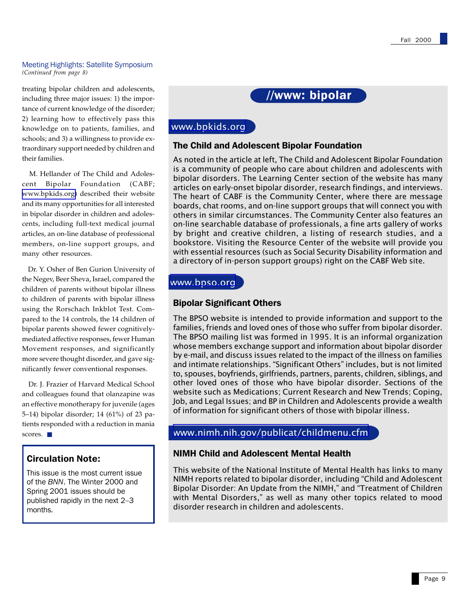#### Meeting Highlights: Satellite Symposium *(Continued from page 8)*

treating bipolar children and adolescents, including three major issues: 1) the importance of current knowledge of the disorder; 2) learning how to effectively pass this knowledge on to patients, families, and schools; and 3) a willingness to provide extraordinary support needed by children and their families.

 M. Hellander of The Child and Adolescent Bipolar Foundation (CABF; [www.bpkids.org\)](http://www.bpkids.org/) described their website and its many opportunities for all interested in bipolar disorder in children and adolescents, including full-text medical journal articles, an on-line database of professional members, on-line support groups, and many other resources.

 Dr. Y. Osher of Ben Gurion University of the Negev, Beer Sheva, Israel, compared the children of parents without bipolar illness to children of parents with bipolar illness using the Rorschach Inkblot Test. Compared to the 14 controls, the 14 children of bipolar parents showed fewer cognitivelymediated affective responses, fewer Human Movement responses, and significantly more severe thought disorder, and gave significantly fewer conventional responses.

 Dr. J. Frazier of Harvard Medical School and colleagues found that olanzapine was an effective monotherapy for juvenile (ages 5–14) bipolar disorder; 14 (61%) of 23 patients responded with a reduction in mania scores. ■

# Circulation Note:

This issue is the most current issue of the *BNN*. The Winter 2000 and Spring 2001 issues should be published rapidly in the next 2–3 months.



# [www.bpkids.org](http://www.bpkids.org/)

### The Child and Adolescent Bipolar Foundation

As noted in the article at left, The Child and Adolescent Bipolar Foundation is a community of people who care about children and adolescents with bipolar disorders. The Learning Center section of the website has many articles on early-onset bipolar disorder, research findings, and interviews. The heart of CABF is the Community Center, where there are message boards, chat rooms, and on-line support groups that will connect you with others in similar circumstances. The Community Center also features an on-line searchable database of professionals, a fine arts gallery of works by bright and creative children, a listing of research studies, and a bookstore. Visiting the Resource Center of the website will provide you with essential resources (such as Social Security Disability information and a directory of in-person support groups) right on the CABF Web site.

# [www.bpso.org](http://www.bpso.org/)

# Bipolar Significant Others

The BPSO website is intended to provide information and support to the families, friends and loved ones of those who suffer from bipolar disorder. The BPSO mailing list was formed in 1995. It is an informal organization whose members exchange support and information about bipolar disorder by e-mail, and discuss issues related to the impact of the illness on families and intimate relationships. "Significant Others" includes, but is not limited to, spouses, boyfriends, girlfriends, partners, parents, children, siblings, and other loved ones of those who have bipolar disorder. Sections of the website such as Medications; Current Research and New Trends; Coping, Job, and Legal Issues; and BP in Children and Adolescents provide a wealth of information for significant others of those with bipolar illness.

# [www.nimh.nih.gov/publicat/childmenu.cfm](http://www.nimh.nih.gov/publicat/childmenu.cfm)

# NIMH Child and Adolescent Mental Health

This website of the National Institute of Mental Health has links to many NIMH reports related to bipolar disorder, including Child and Adolescent Bipolar Disorder: An Update from the NIMH," and "Treatment of Children with Mental Disorders," as well as many other topics related to mood disorder research in children and adolescents.